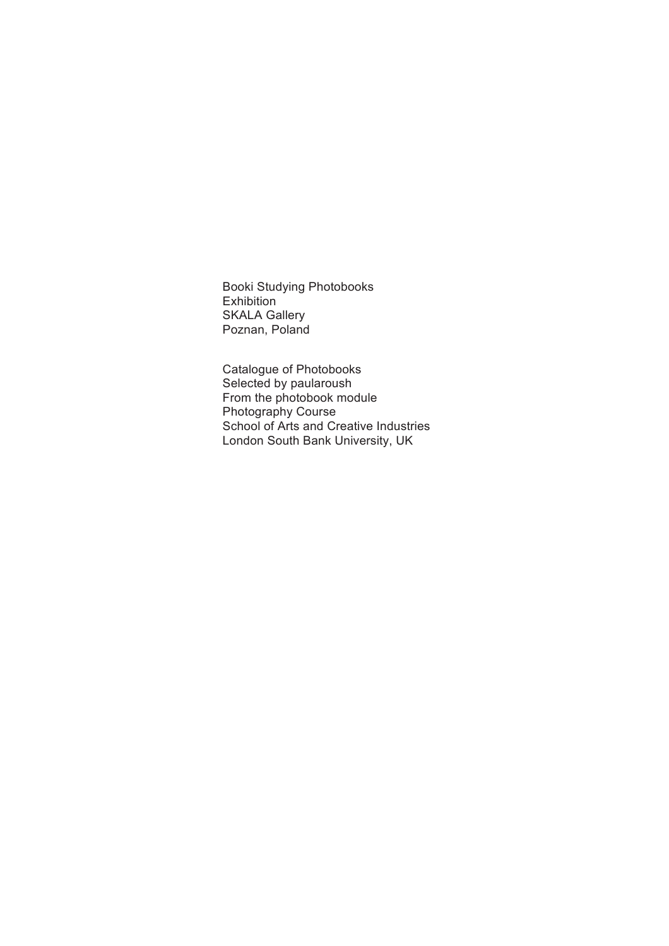Booki Studying Photobooks Exhibition SKALA Gallery Poznan, Poland

Catalogue of Photobooks Selected by paularoush From the photobook module Photography Course School of Arts and Creative Industries London South Bank University, UK